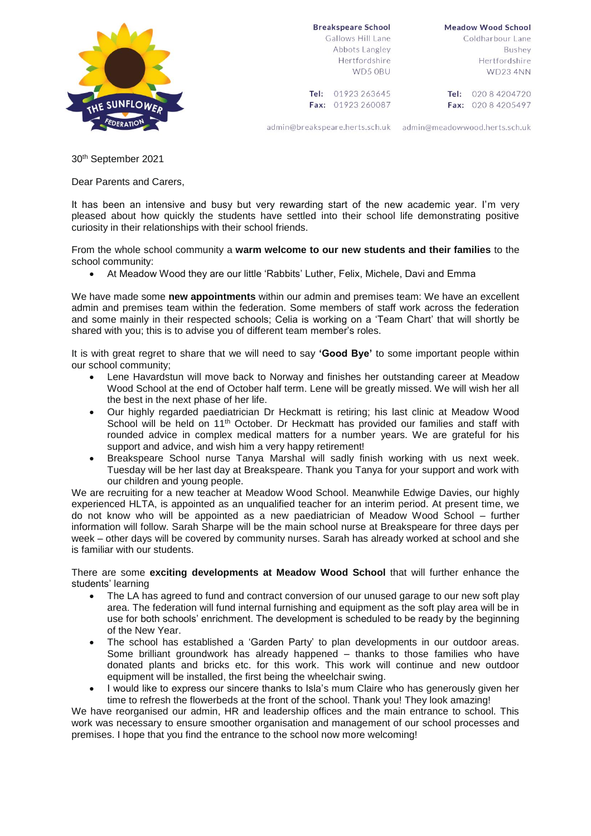## **Breakspeare School**

Tel: 01923 263645

Fax: 01923 260087



Gallows Hill Lane Abbots Langley Hertfordshire WD5 ORLL

**Meadow Wood School** Coldharbour Lane Bushev Hertfordshire **WD23 4NN** 

Tel: 020 8 4204720 Fax: 020 8 4205497

admin@breakspeare.herts.sch.uk admin@meadowwood.herts.sch.uk

30th September 2021

Dear Parents and Carers,

It has been an intensive and busy but very rewarding start of the new academic year. I'm very pleased about how quickly the students have settled into their school life demonstrating positive curiosity in their relationships with their school friends.

From the whole school community a **warm welcome to our new students and their families** to the school community:

At Meadow Wood they are our little 'Rabbits' Luther, Felix, Michele, Davi and Emma

We have made some **new appointments** within our admin and premises team: We have an excellent admin and premises team within the federation. Some members of staff work across the federation and some mainly in their respected schools; Celia is working on a 'Team Chart' that will shortly be shared with you; this is to advise you of different team member's roles.

It is with great regret to share that we will need to say **'Good Bye'** to some important people within our school community;

- Lene Havardstun will move back to Norway and finishes her outstanding career at Meadow Wood School at the end of October half term. Lene will be greatly missed. We will wish her all the best in the next phase of her life.
- Our highly regarded paediatrician Dr Heckmatt is retiring; his last clinic at Meadow Wood School will be held on 11<sup>th</sup> October. Dr Heckmatt has provided our families and staff with rounded advice in complex medical matters for a number years. We are grateful for his support and advice, and wish him a very happy retirement!
- Breakspeare School nurse Tanya Marshal will sadly finish working with us next week. Tuesday will be her last day at Breakspeare. Thank you Tanya for your support and work with our children and young people.

We are recruiting for a new teacher at Meadow Wood School. Meanwhile Edwige Davies, our highly experienced HLTA, is appointed as an unqualified teacher for an interim period. At present time, we do not know who will be appointed as a new paediatrician of Meadow Wood School – further information will follow. Sarah Sharpe will be the main school nurse at Breakspeare for three days per week – other days will be covered by community nurses. Sarah has already worked at school and she is familiar with our students.

There are some **exciting developments at Meadow Wood School** that will further enhance the students' learning

- The LA has agreed to fund and contract conversion of our unused garage to our new soft play area. The federation will fund internal furnishing and equipment as the soft play area will be in use for both schools' enrichment. The development is scheduled to be ready by the beginning of the New Year.
- The school has established a 'Garden Party' to plan developments in our outdoor areas. Some brilliant groundwork has already happened – thanks to those families who have donated plants and bricks etc. for this work. This work will continue and new outdoor equipment will be installed, the first being the wheelchair swing.
- I would like to express our sincere thanks to Isla's mum Claire who has generously given her time to refresh the flowerbeds at the front of the school. Thank you! They look amazing!

We have reorganised our admin, HR and leadership offices and the main entrance to school. This work was necessary to ensure smoother organisation and management of our school processes and premises. I hope that you find the entrance to the school now more welcoming!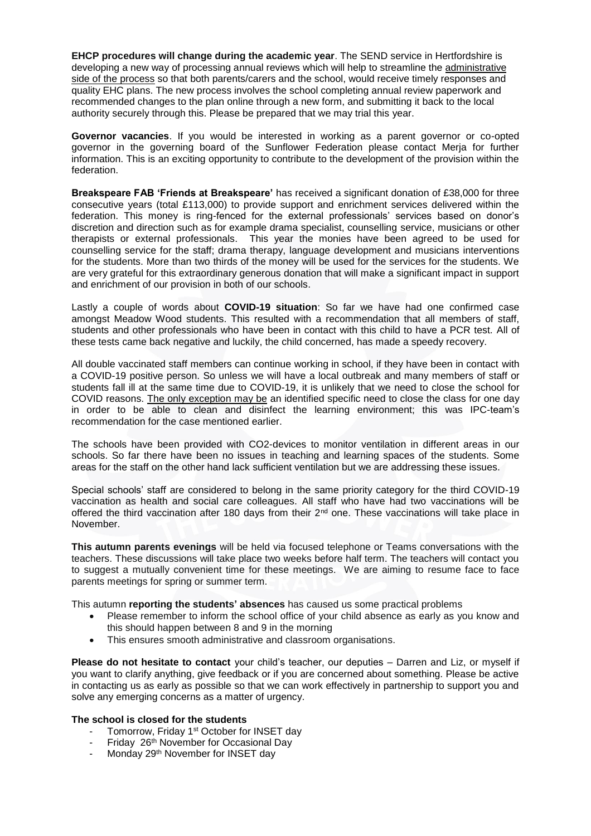**EHCP procedures will change during the academic year**. The SEND service in Hertfordshire is developing a new way of processing annual reviews which will help to streamline the administrative side of the process so that both parents/carers and the school, would receive timely responses and quality EHC plans. The new process involves the school completing annual review paperwork and recommended changes to the plan online through a new form, and submitting it back to the local authority securely through this. Please be prepared that we may trial this year.

**Governor vacancies**. If you would be interested in working as a parent governor or co-opted governor in the governing board of the Sunflower Federation please contact Merja for further information. This is an exciting opportunity to contribute to the development of the provision within the federation.

**Breakspeare FAB 'Friends at Breakspeare'** has received a significant donation of £38,000 for three consecutive years (total £113,000) to provide support and enrichment services delivered within the federation. This money is ring-fenced for the external professionals' services based on donor's discretion and direction such as for example drama specialist, counselling service, musicians or other therapists or external professionals. This year the monies have been agreed to be used for counselling service for the staff; drama therapy, language development and musicians interventions for the students. More than two thirds of the money will be used for the services for the students. We are very grateful for this extraordinary generous donation that will make a significant impact in support and enrichment of our provision in both of our schools.

Lastly a couple of words about **COVID-19 situation**: So far we have had one confirmed case amongst Meadow Wood students. This resulted with a recommendation that all members of staff, students and other professionals who have been in contact with this child to have a PCR test. All of these tests came back negative and luckily, the child concerned, has made a speedy recovery.

All double vaccinated staff members can continue working in school, if they have been in contact with a COVID-19 positive person. So unless we will have a local outbreak and many members of staff or students fall ill at the same time due to COVID-19, it is unlikely that we need to close the school for COVID reasons. The only exception may be an identified specific need to close the class for one day in order to be able to clean and disinfect the learning environment; this was IPC-team's recommendation for the case mentioned earlier.

The schools have been provided with CO2-devices to monitor ventilation in different areas in our schools. So far there have been no issues in teaching and learning spaces of the students. Some areas for the staff on the other hand lack sufficient ventilation but we are addressing these issues.

Special schools' staff are considered to belong in the same priority category for the third COVID-19 vaccination as health and social care colleagues. All staff who have had two vaccinations will be offered the third vaccination after 180 days from their  $2^{nd}$  one. These vaccinations will take place in November.

**This autumn parents evenings** will be held via focused telephone or Teams conversations with the teachers. These discussions will take place two weeks before half term. The teachers will contact you to suggest a mutually convenient time for these meetings. We are aiming to resume face to face parents meetings for spring or summer term.

This autumn **reporting the students' absences** has caused us some practical problems

- Please remember to inform the school office of your child absence as early as you know and this should happen between 8 and 9 in the morning
- This ensures smooth administrative and classroom organisations.

**Please do not hesitate to contact** your child's teacher, our deputies – Darren and Liz, or myself if you want to clarify anything, give feedback or if you are concerned about something. Please be active in contacting us as early as possible so that we can work effectively in partnership to support you and solve any emerging concerns as a matter of urgency.

## **The school is closed for the students**

- Tomorrow, Friday 1<sup>st</sup> October for INSET day
- Friday 26th November for Occasional Day
- Monday 29<sup>th</sup> November for INSET day